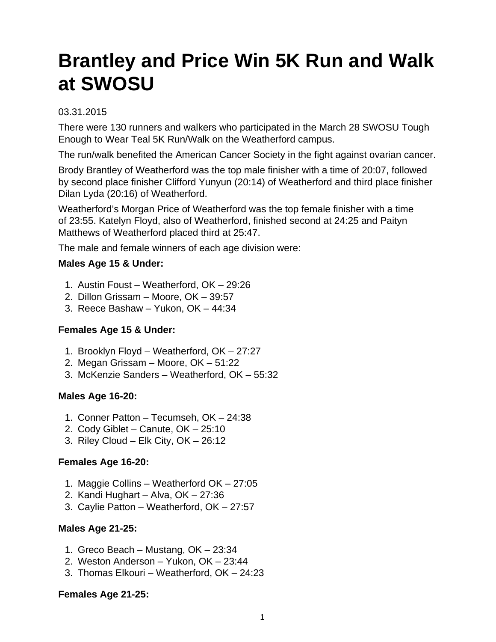# **Brantley and Price Win 5K Run and Walk at SWOSU**

# 03.31.2015

There were 130 runners and walkers who participated in the March 28 SWOSU Tough Enough to Wear Teal 5K Run/Walk on the Weatherford campus.

The run/walk benefited the American Cancer Society in the fight against ovarian cancer.

Brody Brantley of Weatherford was the top male finisher with a time of 20:07, followed by second place finisher Clifford Yunyun (20:14) of Weatherford and third place finisher Dilan Lyda (20:16) of Weatherford.

Weatherford's Morgan Price of Weatherford was the top female finisher with a time of 23:55. Katelyn Floyd, also of Weatherford, finished second at 24:25 and Paityn Matthews of Weatherford placed third at 25:47.

The male and female winners of each age division were:

# **Males Age 15 & Under:**

- 1. Austin Foust Weatherford, OK 29:26
- 2. Dillon Grissam Moore, OK 39:57
- 3. Reece Bashaw Yukon, OK 44:34

# **Females Age 15 & Under:**

- 1. Brooklyn Floyd Weatherford, OK 27:27
- 2. Megan Grissam Moore, OK 51:22
- 3. McKenzie Sanders Weatherford, OK 55:32

# **Males Age 16-20:**

- 1. Conner Patton Tecumseh, OK 24:38
- 2. Cody Giblet Canute, OK 25:10
- 3. Riley Cloud Elk City, OK 26:12

# **Females Age 16-20:**

- 1. Maggie Collins Weatherford OK 27:05
- 2. Kandi Hughart Alva, OK 27:36
- 3. Caylie Patton Weatherford, OK 27:57

# **Males Age 21-25:**

- 1. Greco Beach Mustang, OK 23:34
- 2. Weston Anderson Yukon, OK 23:44
- 3. Thomas Elkouri Weatherford, OK 24:23

# **Females Age 21-25:**